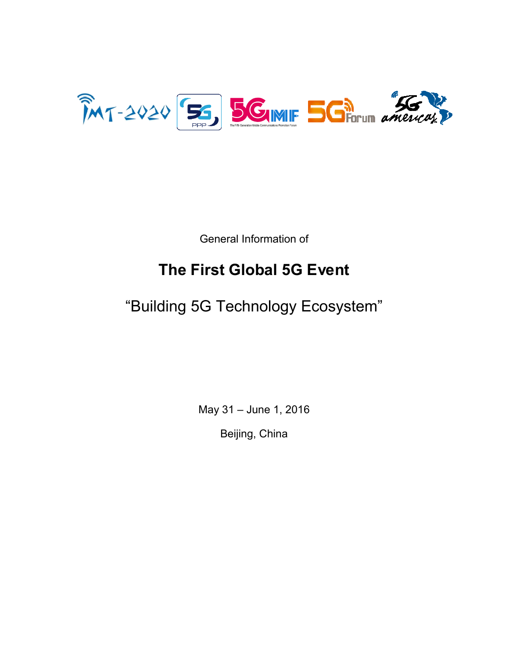

General Information of

# **The First Global 5G Event**

"Building 5G Technology Ecosystem"

May 31 – June 1, 2016

Beijing, China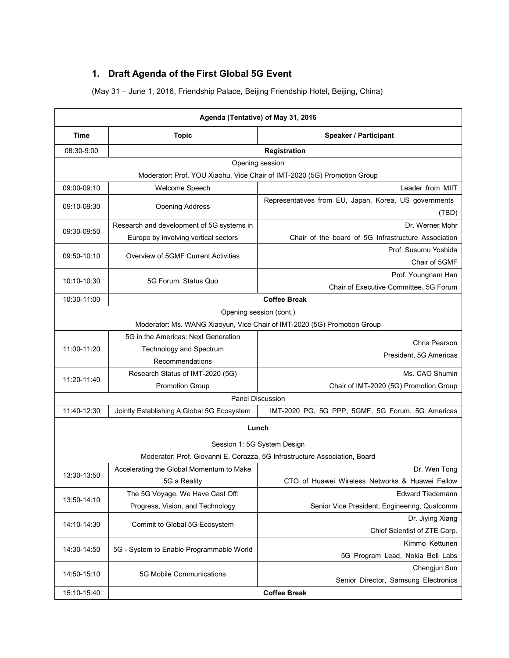# **1. Draft Agenda of the First Global 5G Event**

(May 31 – June 1, 2016, Friendship Palace, Beijing Friendship Hotel, Beijing, China)

| Agenda (Tentative) of May 31, 2016 |                                            |                                                                            |  |  |
|------------------------------------|--------------------------------------------|----------------------------------------------------------------------------|--|--|
| <b>Time</b>                        | <b>Topic</b>                               | <b>Speaker / Participant</b>                                               |  |  |
| 08:30-9:00                         | Registration                               |                                                                            |  |  |
|                                    |                                            | Opening session                                                            |  |  |
|                                    |                                            | Moderator: Prof. YOU Xiaohu, Vice Chair of IMT-2020 (5G) Promotion Group   |  |  |
| 09:00-09:10                        | Welcome Speech                             | Leader from MIIT                                                           |  |  |
| 09:10-09:30                        | <b>Opening Address</b>                     | Representatives from EU, Japan, Korea, US governments<br>(TBD)             |  |  |
| 09:30-09:50                        | Research and development of 5G systems in  | Dr. Werner Mohr                                                            |  |  |
|                                    | Europe by involving vertical sectors       | Chair of the board of 5G Infrastructure Association                        |  |  |
| 09:50-10:10                        | Overview of 5GMF Current Activities        | Prof. Susumu Yoshida<br>Chair of 5GMF                                      |  |  |
|                                    |                                            | Prof. Youngnam Han                                                         |  |  |
| 10:10-10:30                        | 5G Forum: Status Quo                       | Chair of Executive Committee, 5G Forum                                     |  |  |
| 10:30-11:00                        |                                            | <b>Coffee Break</b>                                                        |  |  |
|                                    |                                            | Opening session (cont.)                                                    |  |  |
|                                    |                                            | Moderator: Ms. WANG Xiaoyun, Vice Chair of IMT-2020 (5G) Promotion Group   |  |  |
|                                    | 5G in the Americas: Next Generation        | Chris Pearson                                                              |  |  |
| 11:00-11:20                        | <b>Technology and Spectrum</b>             | President, 5G Americas                                                     |  |  |
|                                    | Recommendations                            |                                                                            |  |  |
| 11:20-11:40                        | Research Status of IMT-2020 (5G)           | Ms. CAO Shumin                                                             |  |  |
|                                    | <b>Promotion Group</b>                     | Chair of IMT-2020 (5G) Promotion Group                                     |  |  |
|                                    |                                            | Panel Discussion                                                           |  |  |
| 11:40-12:30                        | Jointly Establishing A Global 5G Ecosystem | IMT-2020 PG, 5G PPP, 5GMF, 5G Forum, 5G Americas                           |  |  |
|                                    |                                            | Lunch                                                                      |  |  |
|                                    |                                            | Session 1: 5G System Design                                                |  |  |
|                                    |                                            | Moderator: Prof. Giovanni E. Corazza, 5G Infrastructure Association, Board |  |  |
| 13:30-13:50                        | Accelerating the Global Momentum to Make   | Dr. Wen Tong                                                               |  |  |
|                                    | 5G a Reality                               | CTO of Huawei Wireless Networks & Huawei Fellow                            |  |  |
| 13:50-14:10                        | The 5G Voyage, We Have Cast Off:           | <b>Edward Tiedemann</b>                                                    |  |  |
|                                    | Progress, Vision, and Technology           | Senior Vice President, Engineering, Qualcomm                               |  |  |
| 14:10-14:30                        | Commit to Global 5G Ecosystem              | Dr. Jiying Xiang<br>Chief Scientist of ZTE Corp.                           |  |  |
| 14:30-14:50                        | 5G - System to Enable Programmable World   | Kimmo Kettunen                                                             |  |  |
|                                    |                                            | 5G Program Lead, Nokia Bell Labs                                           |  |  |
| 14:50-15:10                        | 5G Mobile Communications                   | Chengjun Sun                                                               |  |  |
|                                    |                                            | Senior Director, Samsung Electronics                                       |  |  |
| 15:10-15:40                        | <b>Coffee Break</b>                        |                                                                            |  |  |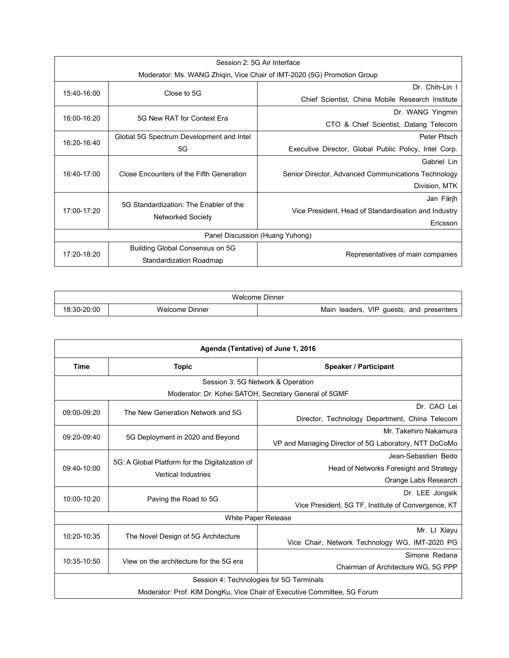| Session 2: 5G Air Interface                                             |                                                                    |                                                       |  |
|-------------------------------------------------------------------------|--------------------------------------------------------------------|-------------------------------------------------------|--|
| Moderator: Ms. WANG Zhiqin, Vice Chair of IMT-2020 (5G) Promotion Group |                                                                    |                                                       |  |
|                                                                         | Close to 5G                                                        | Dr. Chih-Lin I                                        |  |
| 15:40-16:00                                                             |                                                                    | Chief Scientist, China Mobile Research Institute      |  |
| 16:00-16:20                                                             | 5G New RAT for Context Era                                         | Dr. WANG Yingmin                                      |  |
|                                                                         |                                                                    | CTO & Chief Scientist, Datang Telecom                 |  |
| 16:20-16:40                                                             | Global 5G Spectrum Development and Intel                           | Peter Pitsch                                          |  |
|                                                                         | 5G                                                                 | Executive Director, Global Public Policy, Intel Corp. |  |
| 16:40-17:00                                                             | Close Encounters of the Fifth Generation                           | Gabriel Lin                                           |  |
|                                                                         |                                                                    | Senior Director, Advanced Communications Technology   |  |
|                                                                         |                                                                    | Division, MTK                                         |  |
|                                                                         | 5G Standardization: The Enabler of the<br><b>Networked Society</b> | Jan Färjh                                             |  |
| 17:00-17:20                                                             |                                                                    | Vice President, Head of Standardisation and Industry  |  |
|                                                                         |                                                                    | Ericsson                                              |  |
| Panel Discussion (Huang Yuhong)                                         |                                                                    |                                                       |  |
| 17:20-18:20                                                             | Building Global Consensus on 5G                                    | Representatives of main companies                     |  |
|                                                                         | Standardization Roadmap                                            |                                                       |  |

| Welcome Dinner |                |                                                         |  |
|----------------|----------------|---------------------------------------------------------|--|
| 18:30-20:00    | Welcome Dinner | VIP<br>quests.<br>and<br>leaders.<br>Mair<br>presenters |  |

| Agenda (Tentative) of June 1, 2016                                       |                                                                               |                                                       |  |  |
|--------------------------------------------------------------------------|-------------------------------------------------------------------------------|-------------------------------------------------------|--|--|
| <b>Time</b>                                                              | <b>Topic</b>                                                                  | <b>Speaker / Participant</b>                          |  |  |
|                                                                          | Session 3: 5G Network & Operation                                             |                                                       |  |  |
|                                                                          |                                                                               | Moderator: Dr. Kohei SATOH, Secretary General of 5GMF |  |  |
| 09:00-09:20                                                              |                                                                               | Dr. CAO Lei                                           |  |  |
|                                                                          | The New Generation Network and 5G                                             | Director, Technology Department, China Telecom        |  |  |
| 09:20-09:40                                                              | 5G Deployment in 2020 and Beyond                                              | Mr. Takehiro Nakamura                                 |  |  |
|                                                                          |                                                                               | VP and Managing Director of 5G Laboratory, NTT DoCoMo |  |  |
|                                                                          | 5G: A Global Platform for the Digitalization of<br><b>Vertical Industries</b> | Jean-Sebastien Bedo                                   |  |  |
| 09:40-10:00                                                              |                                                                               | Head of Networks Foresight and Strategy               |  |  |
|                                                                          |                                                                               | Orange Labs Research                                  |  |  |
| 10:00-10:20                                                              | Paving the Road to 5G                                                         | Dr. LEE Jongsik                                       |  |  |
|                                                                          |                                                                               | Vice President, 5G TF, Institute of Convergence, KT   |  |  |
|                                                                          |                                                                               | White Paper Release                                   |  |  |
| 10:20-10:35                                                              | The Novel Design of 5G Architecture                                           | Mr. LI Xiayu                                          |  |  |
|                                                                          |                                                                               | Vice Chair, Network Technology WG, IMT-2020 PG        |  |  |
| 10:35-10:50                                                              | View on the architecture for the 5G era                                       | Simone Redana                                         |  |  |
|                                                                          |                                                                               | Chairman of Architecture WG, 5G PPP                   |  |  |
| Session 4: Technologies for 5G Terminals                                 |                                                                               |                                                       |  |  |
| Moderator: Prof. KIM DongKu, Vice Chair of Executive Committee, 5G Forum |                                                                               |                                                       |  |  |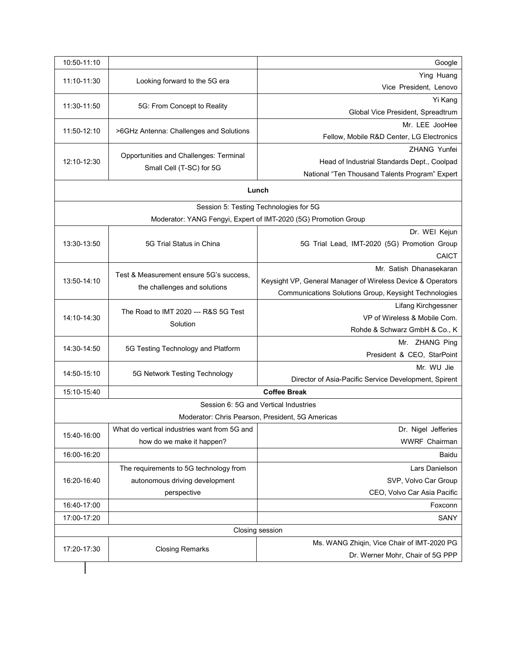| 10:50-11:10 |                                                  | Google                                                          |  |
|-------------|--------------------------------------------------|-----------------------------------------------------------------|--|
| 11:10-11:30 | Looking forward to the 5G era                    | Ying Huang                                                      |  |
|             |                                                  | Vice President, Lenovo                                          |  |
| 11:30-11:50 | 5G: From Concept to Reality                      | Yi Kang                                                         |  |
|             |                                                  | Global Vice President, Spreadtrum                               |  |
| 11:50-12:10 | >6GHz Antenna: Challenges and Solutions          | Mr. LEE JooHee                                                  |  |
|             |                                                  | Fellow, Mobile R&D Center, LG Electronics                       |  |
|             | Opportunities and Challenges: Terminal           | ZHANG Yunfei                                                    |  |
| 12:10-12:30 | Small Cell (T-SC) for 5G                         | Head of Industrial Standards Dept., Coolpad                     |  |
|             |                                                  | National "Ten Thousand Talents Program" Expert                  |  |
|             |                                                  | Lunch                                                           |  |
|             |                                                  | Session 5: Testing Technologies for 5G                          |  |
|             |                                                  | Moderator: YANG Fengyi, Expert of IMT-2020 (5G) Promotion Group |  |
|             |                                                  | Dr. WEI Kejun                                                   |  |
| 13:30-13:50 | 5G Trial Status in China                         | 5G Trial Lead, IMT-2020 (5G) Promotion Group                    |  |
|             |                                                  | CAICT                                                           |  |
|             |                                                  | Mr. Satish Dhanasekaran                                         |  |
| 13:50-14:10 | Test & Measurement ensure 5G's success.          | Keysight VP, General Manager of Wireless Device & Operators     |  |
|             | the challenges and solutions                     | Communications Solutions Group, Keysight Technologies           |  |
|             | The Road to IMT 2020 --- R&S 5G Test<br>Solution | Lifang Kirchgessner                                             |  |
| 14:10-14:30 |                                                  | VP of Wireless & Mobile Com.                                    |  |
|             |                                                  | Rohde & Schwarz GmbH & Co., K                                   |  |
|             | 5G Testing Technology and Platform               | Mr. ZHANG Ping                                                  |  |
| 14:30-14:50 |                                                  | President & CEO, StarPoint                                      |  |
|             |                                                  | Mr. WU Jie                                                      |  |
| 14:50-15:10 | 5G Network Testing Technology                    | Director of Asia-Pacific Service Development, Spirent           |  |
| 15:10-15:40 |                                                  | <b>Coffee Break</b>                                             |  |
|             |                                                  | Session 6: 5G and Vertical Industries                           |  |
|             |                                                  | Moderator: Chris Pearson, President, 5G Americas                |  |
| 15:40-16:00 | What do vertical industries want from 5G and     | Dr. Nigel Jefferies                                             |  |
|             | how do we make it happen?                        | WWRF Chairman                                                   |  |
| 16:00-16:20 |                                                  | Baidu                                                           |  |
|             | The requirements to 5G technology from           | Lars Danielson                                                  |  |
| 16:20-16:40 | autonomous driving development                   | SVP, Volvo Car Group                                            |  |
|             | perspective                                      | CEO, Volvo Car Asia Pacific                                     |  |
| 16:40-17:00 |                                                  | Foxconn                                                         |  |
| 17:00-17:20 |                                                  | SANY                                                            |  |
|             |                                                  | Closing session                                                 |  |
| 17:20-17:30 |                                                  | Ms. WANG Zhiqin, Vice Chair of IMT-2020 PG                      |  |
|             | <b>Closing Remarks</b>                           | Dr. Werner Mohr, Chair of 5G PPP                                |  |
|             |                                                  |                                                                 |  |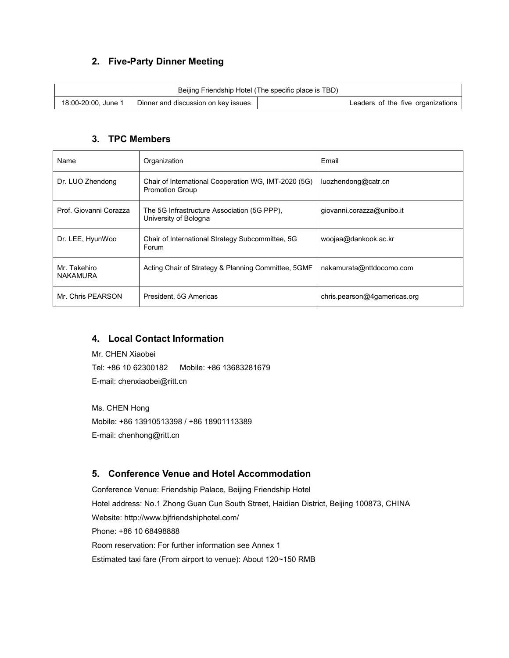# **2. Five-Party Dinner Meeting**

| Beijing Friendship Hotel (The specific place is TBD) |                                     |                                   |  |  |
|------------------------------------------------------|-------------------------------------|-----------------------------------|--|--|
| 18:00-20:00, June 1                                  | Dinner and discussion on key issues | Leaders of the five organizations |  |  |

## **3. TPC Members**

| Name                     | Organization                                                                   | Email                        |
|--------------------------|--------------------------------------------------------------------------------|------------------------------|
| Dr. LUO Zhendong         | Chair of International Cooperation WG, IMT-2020 (5G)<br><b>Promotion Group</b> | luozhendong@catr.cn          |
| Prof. Giovanni Corazza   | The 5G Infrastructure Association (5G PPP).<br>University of Bologna           | giovanni.corazza@unibo.it    |
| Dr. LEE, HyunWoo         | Chair of International Strategy Subcommittee, 5G<br>Forum                      | woojaa@dankook.ac.kr         |
| Mr. Takehiro<br>NAKAMURA | Acting Chair of Strategy & Planning Committee, 5GMF                            | nakamurata@nttdocomo.com     |
| Mr. Chris PEARSON        | President, 5G Americas                                                         | chris.pearson@4gamericas.org |

## **4. Local Contact Information**

Mr. CHEN Xiaobei Tel: +86 10 62300182 Mobile: +86 13683281679 E-mail: chenxiaobei@ritt.cn

Ms. CHEN Hong Mobile: +86 13910513398 / +86 18901113389 E-mail: chenhong@ritt.cn

## **5. Conference Venue and Hotel Accommodation**

Conference Venue: Friendship Palace, Beijing Friendship Hotel Hotel address: No.1 Zhong Guan Cun South Street, Haidian District, Beijing 100873, CHINA Website: http://www.bjfriendshiphotel.com/ Phone: +86 10 68498888 Room reservation: For further information see Annex 1 Estimated taxi fare (From airport to venue): About 120~150 RMB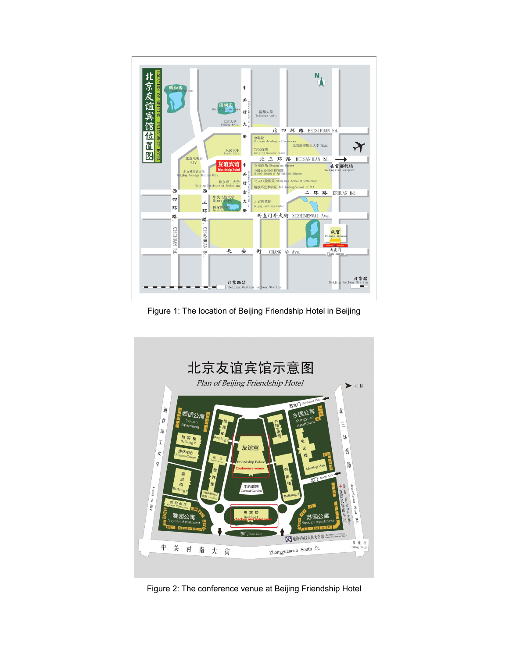

Figure 1: The location of Beijing Friendship Hotel in Beijing



Figure 2: The conference venue at Beijing Friendship Hotel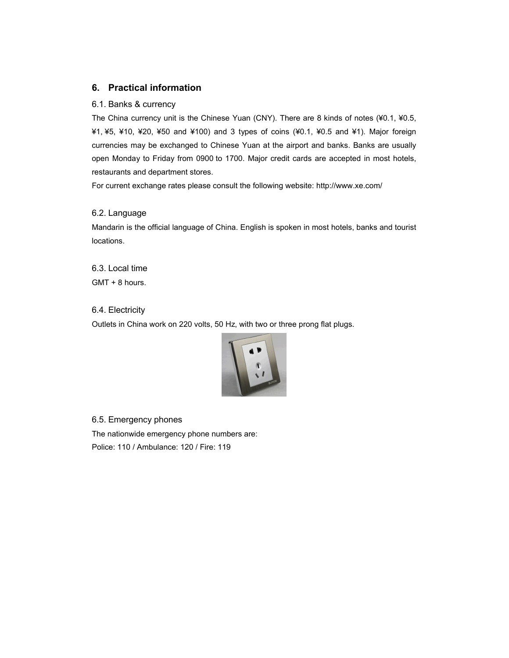## **6. Practical information**

#### 6.1. Banks & currency

The China currency unit is the Chinese Yuan (CNY). There are 8 kinds of notes (¥0.1, ¥0.5, ¥1, ¥5, ¥10, ¥20, ¥50 and ¥100) and 3 types of coins (¥0.1, ¥0.5 and ¥1). Major foreign currencies may be exchanged to Chinese Yuan at the airport and banks. Banks are usually open Monday to Friday from 0900 to 1700. Major credit cards are accepted in most hotels, restaurants and department stores.

For current exchange rates please consult the following website: http://www.xe.com/

## 6.2. Language

Mandarin is the official language of China. English is spoken in most hotels, banks and tourist locations.

6.3. Local time GMT + 8 hours.

## 6.4. Electricity

Outlets in China work on 220 volts, 50 Hz, with two or three prong flat plugs.



## 6.5. Emergency phones

The nationwide emergency phone numbers are: Police: 110 / Ambulance: 120 / Fire: 119